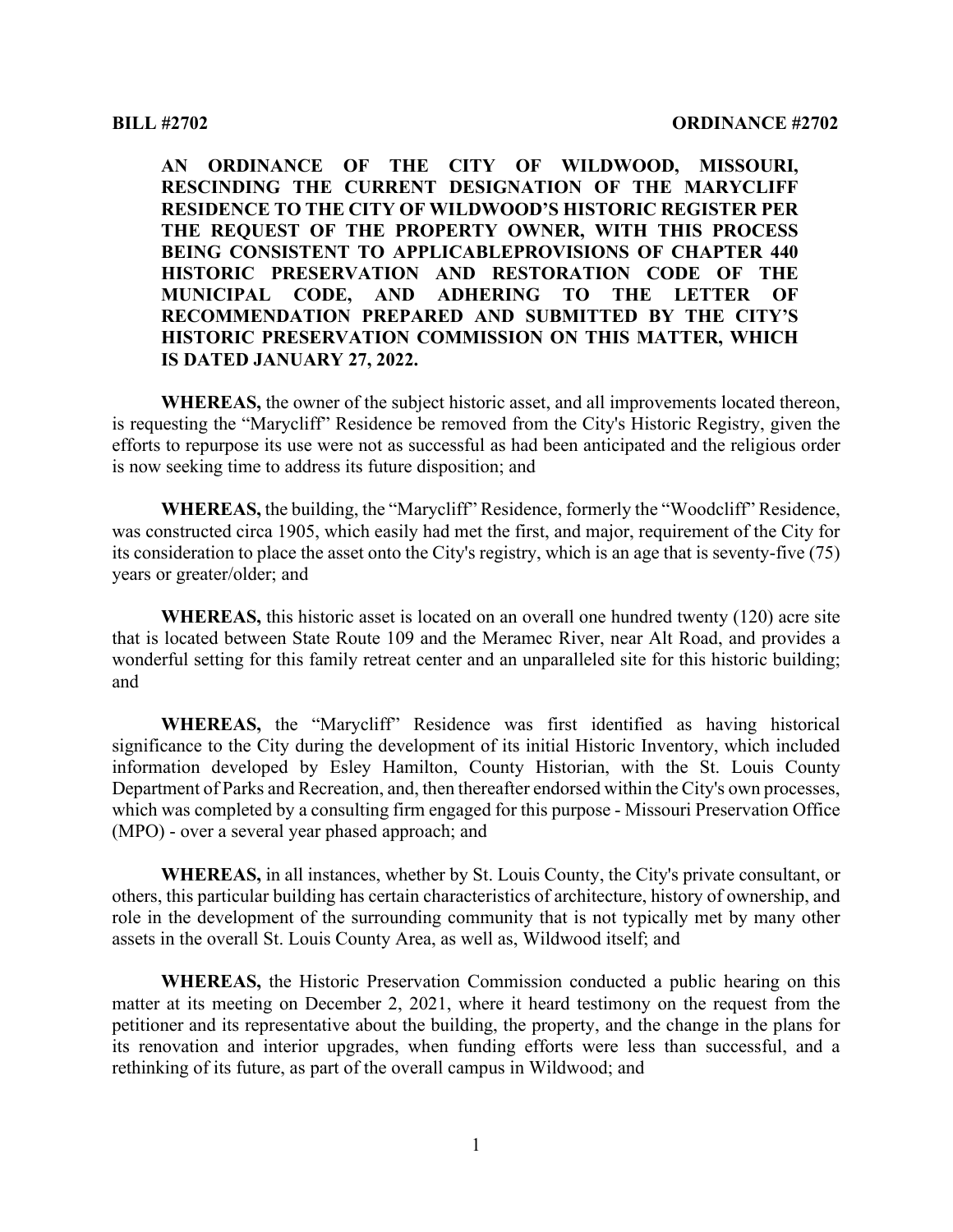**AN ORDINANCE OF THE CITY OF WILDWOOD, MISSOURI, RESCINDING THE CURRENT DESIGNATION OF THE MARYCLIFF RESIDENCE TO THE CITY OF WILDWOOD'S HISTORIC REGISTER PER THE REQUEST OF THE PROPERTY OWNER, WITH THIS PROCESS BEING CONSISTENT TO APPLICABLEPROVISIONS OF CHAPTER 440 HISTORIC PRESERVATION AND RESTORATION CODE OF THE MUNICIPAL CODE, AND ADHERING TO THE LETTER OF RECOMMENDATION PREPARED AND SUBMITTED BY THE CITY'S HISTORIC PRESERVATION COMMISSION ON THIS MATTER, WHICH IS DATED JANUARY 27, 2022.**

**WHEREAS,** the owner of the subject historic asset, and all improvements located thereon, is requesting the "Marycliff" Residence be removed from the City's Historic Registry, given the efforts to repurpose its use were not as successful as had been anticipated and the religious order is now seeking time to address its future disposition; and

**WHEREAS,** the building, the "Marycliff" Residence, formerly the "Woodcliff" Residence, was constructed circa 1905, which easily had met the first, and major, requirement of the City for its consideration to place the asset onto the City's registry, which is an age that is seventy-five (75) years or greater/older; and

**WHEREAS,** this historic asset is located on an overall one hundred twenty (120) acre site that is located between State Route 109 and the Meramec River, near Alt Road, and provides a wonderful setting for this family retreat center and an unparalleled site for this historic building; and

**WHEREAS,** the "Marycliff" Residence was first identified as having historical significance to the City during the development of its initial Historic Inventory, which included information developed by Esley Hamilton, County Historian, with the St. Louis County Department of Parks and Recreation, and, then thereafter endorsed within the City's own processes, which was completed by a consulting firm engaged for this purpose - Missouri Preservation Office (MPO) - over a several year phased approach; and

**WHEREAS,** in all instances, whether by St. Louis County, the City's private consultant, or others, this particular building has certain characteristics of architecture, history of ownership, and role in the development of the surrounding community that is not typically met by many other assets in the overall St. Louis County Area, as well as, Wildwood itself; and

**WHEREAS,** the Historic Preservation Commission conducted a public hearing on this matter at its meeting on December 2, 2021, where it heard testimony on the request from the petitioner and its representative about the building, the property, and the change in the plans for its renovation and interior upgrades, when funding efforts were less than successful, and a rethinking of its future, as part of the overall campus in Wildwood; and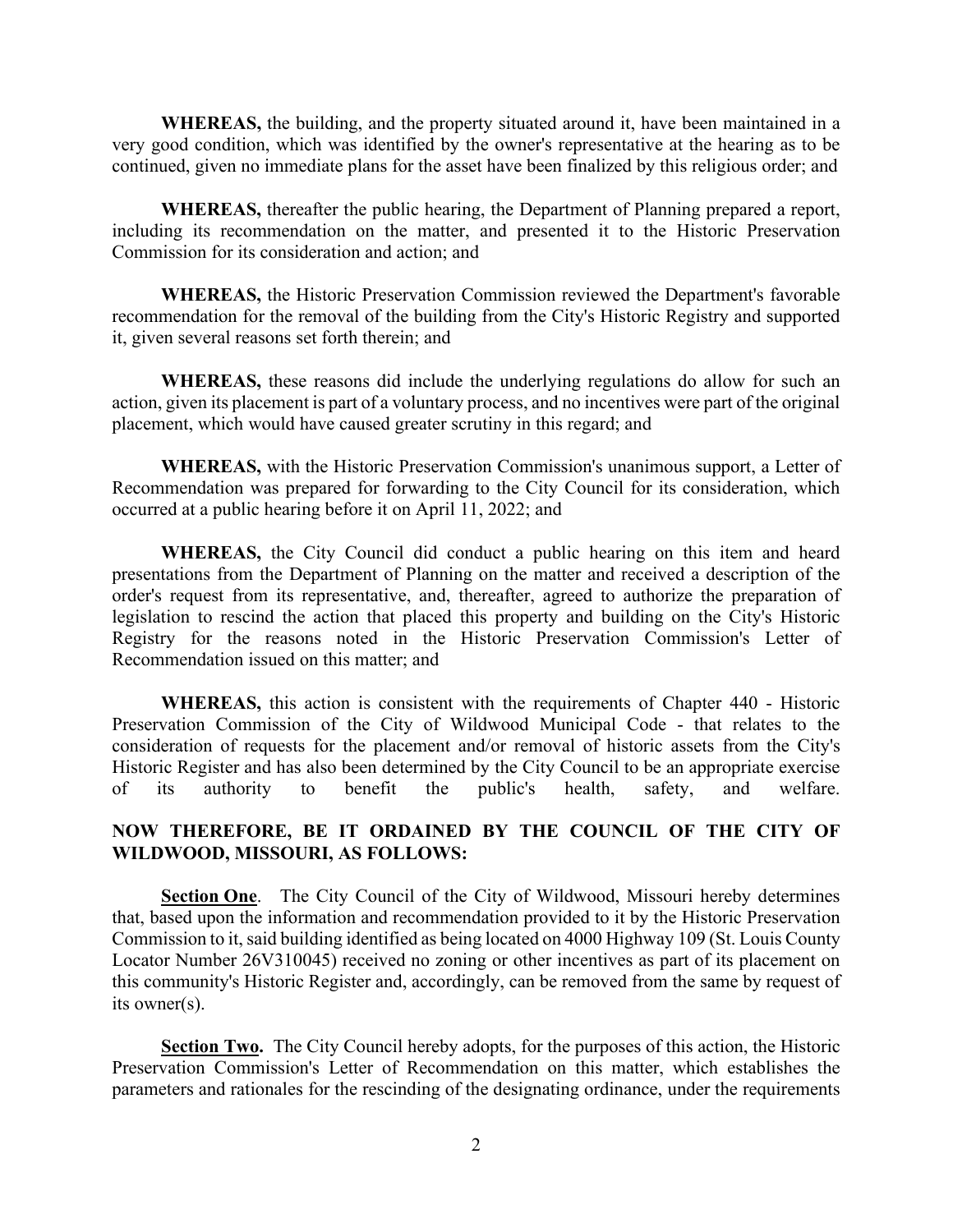**WHEREAS,** the building, and the property situated around it, have been maintained in a very good condition, which was identified by the owner's representative at the hearing as to be continued, given no immediate plans for the asset have been finalized by this religious order; and

**WHEREAS,** thereafter the public hearing, the Department of Planning prepared a report, including its recommendation on the matter, and presented it to the Historic Preservation Commission for its consideration and action; and

**WHEREAS,** the Historic Preservation Commission reviewed the Department's favorable recommendation for the removal of the building from the City's Historic Registry and supported it, given several reasons set forth therein; and

**WHEREAS,** these reasons did include the underlying regulations do allow for such an action, given its placement is part of a voluntary process, and no incentives were part of the original placement, which would have caused greater scrutiny in this regard; and

**WHEREAS,** with the Historic Preservation Commission's unanimous support, a Letter of Recommendation was prepared for forwarding to the City Council for its consideration, which occurred at a public hearing before it on April 11, 2022; and

**WHEREAS,** the City Council did conduct a public hearing on this item and heard presentations from the Department of Planning on the matter and received a description of the order's request from its representative, and, thereafter, agreed to authorize the preparation of legislation to rescind the action that placed this property and building on the City's Historic Registry for the reasons noted in the Historic Preservation Commission's Letter of Recommendation issued on this matter; and

**WHEREAS,** this action is consistent with the requirements of Chapter 440 - Historic Preservation Commission of the City of Wildwood Municipal Code - that relates to the consideration of requests for the placement and/or removal of historic assets from the City's Historic Register and has also been determined by the City Council to be an appropriate exercise of its authority to benefit the public's health, safety, and welfare.

## **NOW THEREFORE, BE IT ORDAINED BY THE COUNCIL OF THE CITY OF WILDWOOD, MISSOURI, AS FOLLOWS:**

**Section One**. The City Council of the City of Wildwood, Missouri hereby determines that, based upon the information and recommendation provided to it by the Historic Preservation Commission to it, said building identified as being located on 4000 Highway 109 (St. Louis County Locator Number 26V310045) received no zoning or other incentives as part of its placement on this community's Historic Register and, accordingly, can be removed from the same by request of its owner(s).

**Section Two.** The City Council hereby adopts, for the purposes of this action, the Historic Preservation Commission's Letter of Recommendation on this matter, which establishes the parameters and rationales for the rescinding of the designating ordinance, under the requirements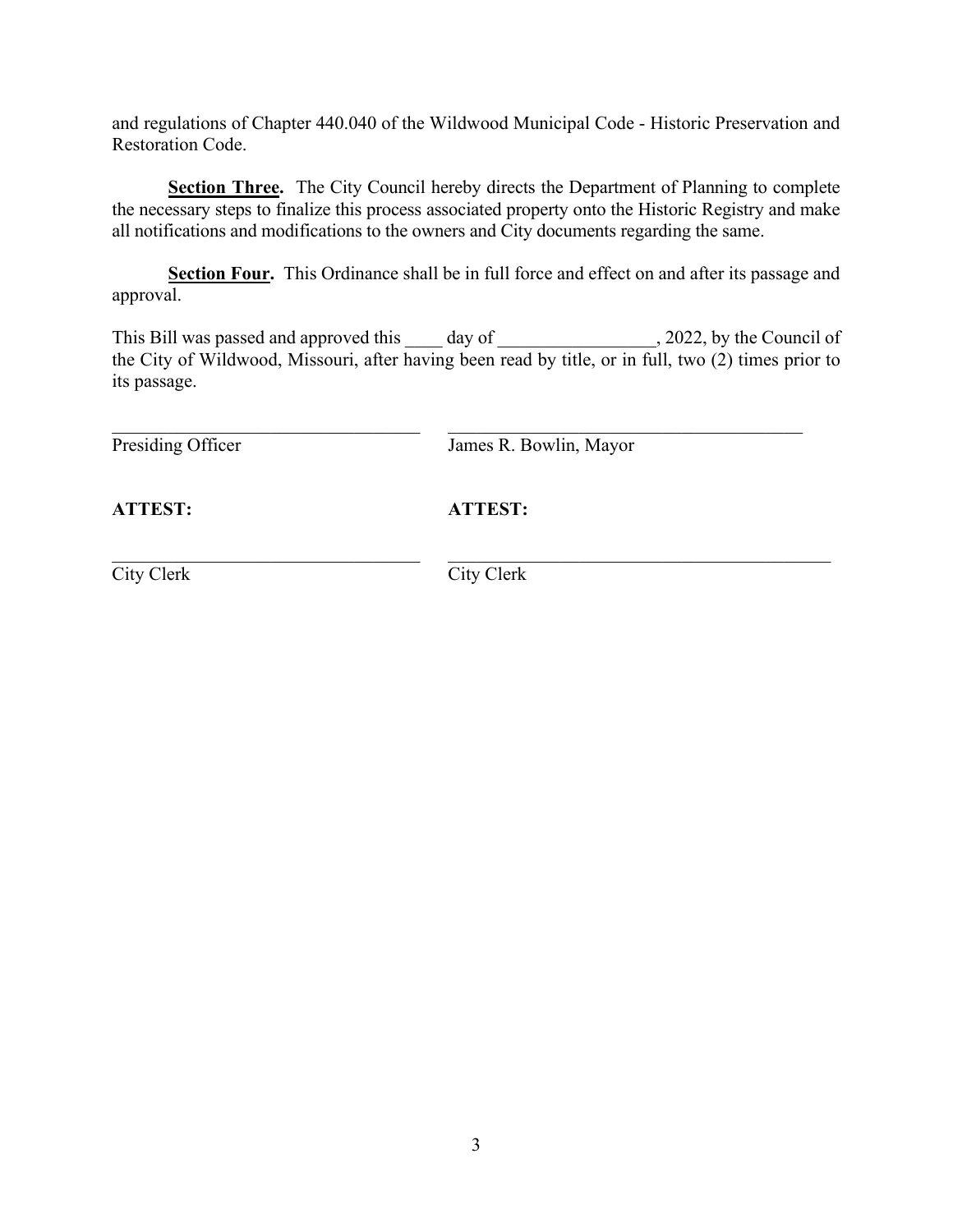and regulations of Chapter 440.040 of the Wildwood Municipal Code - Historic Preservation and Restoration Code.

**Section Three.** The City Council hereby directs the Department of Planning to complete the necessary steps to finalize this process associated property onto the Historic Registry and make all notifications and modifications to the owners and City documents regarding the same.

**Section Four.** This Ordinance shall be in full force and effect on and after its passage and approval.

This Bill was passed and approved this day of , 2022, by the Council of the City of Wildwood, Missouri, after having been read by title, or in full, two (2) times prior to its passage.

 $\_$ 

Presiding Officer James R. Bowlin, Mayor

**ATTEST: ATTEST:**

\_\_\_\_\_\_\_\_\_\_\_\_\_\_\_\_\_\_\_\_\_\_\_\_\_\_\_\_\_\_\_\_\_ \_\_\_\_\_\_\_\_\_\_\_\_\_\_\_\_\_\_\_\_\_\_\_\_\_\_\_\_\_\_\_\_\_\_\_\_\_\_\_\_\_

City Clerk City Clerk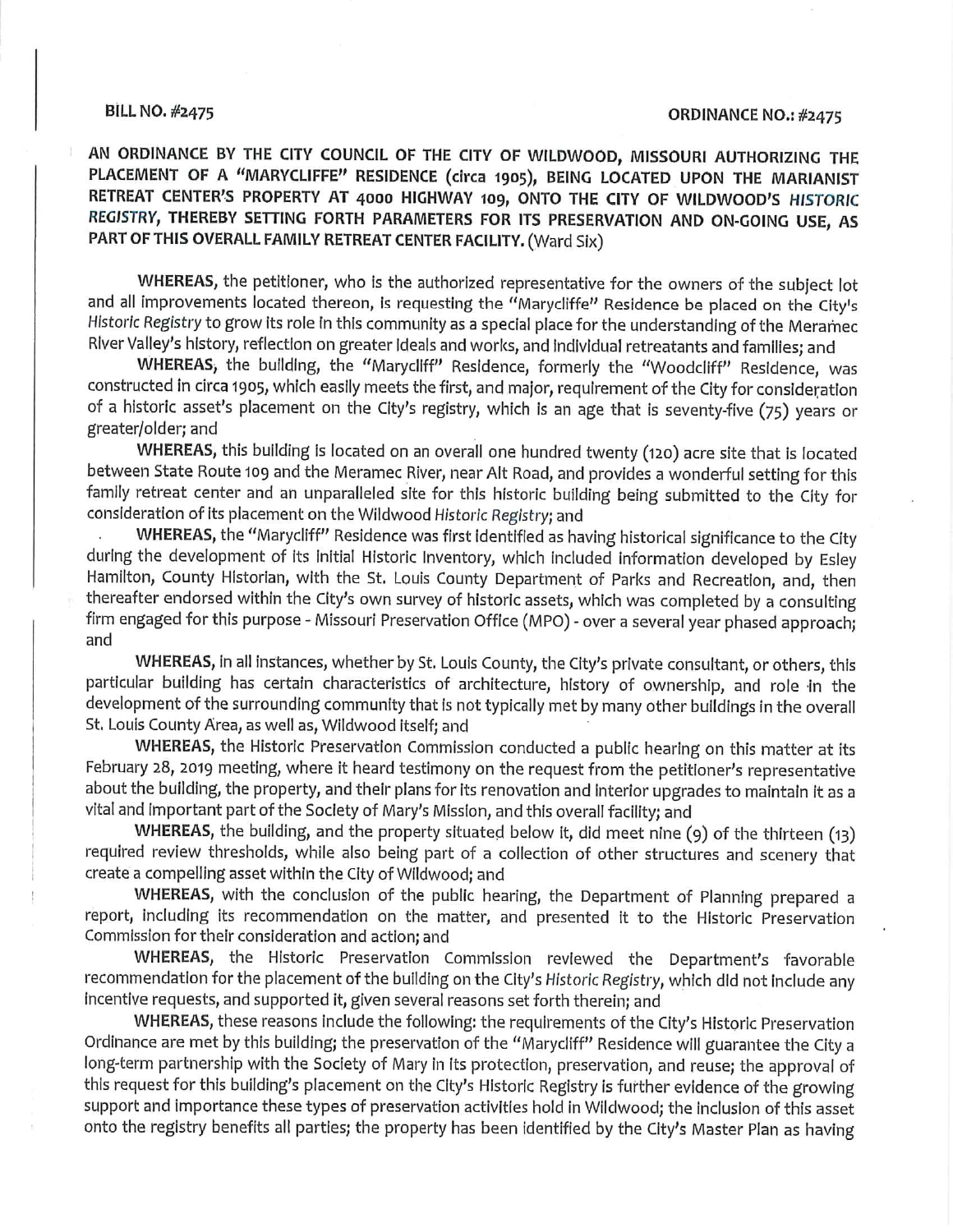## **BILL NO. #2475**

## **ORDINANCE NO.: #2475**

AN ORDINANCE BY THE CITY COUNCIL OF THE CITY OF WILDWOOD, MISSOURI AUTHORIZING THE PLACEMENT OF A "MARYCLIFFE" RESIDENCE (circa 1905), BEING LOCATED UPON THE MARIANIST RETREAT CENTER'S PROPERTY AT 4000 HIGHWAY 109, ONTO THE CITY OF WILDWOOD'S HISTORIC REGISTRY, THEREBY SETTING FORTH PARAMETERS FOR ITS PRESERVATION AND ON-GOING USE, AS PART OF THIS OVERALL FAMILY RETREAT CENTER FACILITY. (Ward Six)

WHEREAS, the petitioner, who is the authorized representative for the owners of the subject lot and all improvements located thereon, is requesting the "Marycliffe" Residence be placed on the City's Historic Registry to grow its role in this community as a special place for the understanding of the Meramec River Valley's history, reflection on greater Ideals and works, and individual retreatants and families; and

WHEREAS, the building, the "Marycliff" Residence, formerly the "Woodcliff" Residence, was constructed in circa 1905, which easily meets the first, and major, requirement of the City for consideration of a historic asset's placement on the City's registry, which is an age that is seventy-five (75) years or greater/older; and

WHEREAS, this building is located on an overall one hundred twenty (120) acre site that is located between State Route 109 and the Meramec River, near Alt Road, and provides a wonderful setting for this family retreat center and an unparalleled site for this historic building being submitted to the City for consideration of its placement on the Wildwood Historic Registry; and

WHEREAS, the "Marycliff" Residence was first identified as having historical significance to the City during the development of its initial Historic Inventory, which included information developed by Esley Hamilton, County Historian, with the St. Louis County Department of Parks and Recreation, and, then thereafter endorsed within the City's own survey of historic assets, which was completed by a consulting firm engaged for this purpose - Missouri Preservation Office (MPO) - over a several year phased approach; and

WHEREAS, in all instances, whether by St. Louis County, the City's private consultant, or others, this particular building has certain characteristics of architecture, history of ownership, and role in the development of the surrounding community that is not typically met by many other buildings in the overall St. Louis County Area, as well as, Wildwood itself; and

WHEREAS, the Historic Preservation Commission conducted a public hearing on this matter at its February 28, 2019 meeting, where it heard testimony on the request from the petitioner's representative about the building, the property, and their plans for its renovation and interior upgrades to maintain it as a vital and important part of the Society of Mary's Mission, and this overall facility; and

WHEREAS, the building, and the property situated below it, did meet nine (9) of the thirteen (13) required review thresholds, while also being part of a collection of other structures and scenery that create a compelling asset within the City of Wildwood; and

WHEREAS, with the conclusion of the public hearing, the Department of Planning prepared a report, including its recommendation on the matter, and presented it to the Historic Preservation Commission for their consideration and action; and

WHEREAS, the Historic Preservation Commission reviewed the Department's favorable recommendation for the placement of the building on the City's Historic Registry, which did not include any incentive requests, and supported it, given several reasons set forth therein; and

WHEREAS, these reasons include the following: the requirements of the City's Historic Preservation Ordinance are met by this building; the preservation of the "Marycliff" Residence will guarantee the City a long-term partnership with the Society of Mary in its protection, preservation, and reuse; the approval of this request for this building's placement on the City's Historic Registry is further evidence of the growing support and importance these types of preservation activities hold in Wildwood; the inclusion of this asset onto the registry benefits all parties; the property has been identified by the City's Master Plan as having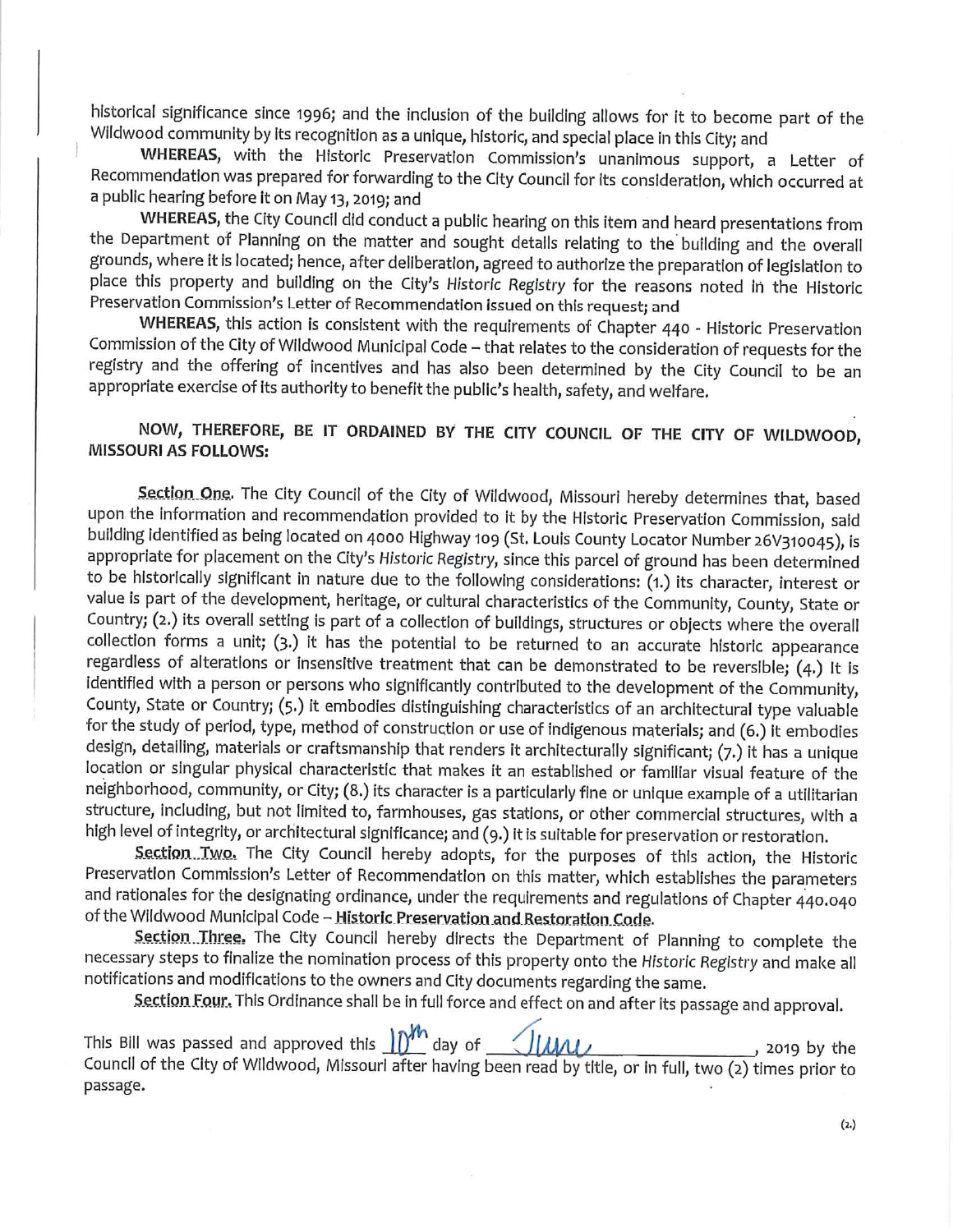historical significance since 1996; and the inclusion of the building allows for it to become part of the Wildwood community by its recognition as a unique, historic, and special place in this City; and

WHEREAS, with the Historic Preservation Commission's unanimous support, a Letter of Recommendation was prepared for forwarding to the City Council for its consideration, which occurred at a public hearing before it on May 13, 2019; and

WHEREAS, the City Council did conduct a public hearing on this item and heard presentations from the Department of Planning on the matter and sought details relating to the building and the overall grounds, where it is located; hence, after deliberation, agreed to authorize the preparation of legislation to place this property and building on the City's Historic Registry for the reasons noted in the Historic Preservation Commission's Letter of Recommendation issued on this request; and

WHEREAS, this action is consistent with the requirements of Chapter 440 - Historic Preservation Commission of the City of Wildwood Municipal Code - that relates to the consideration of requests for the registry and the offering of incentives and has also been determined by the City Council to be an appropriate exercise of its authority to benefit the public's health, safety, and welfare.

NOW, THEREFORE, BE IT ORDAINED BY THE CITY COUNCIL OF THE CITY OF WILDWOOD, **MISSOURI AS FOLLOWS:** 

Section One. The City Council of the City of Wildwood, Missouri hereby determines that, based upon the information and recommendation provided to it by the Historic Preservation Commission, said building identified as being located on 4000 Highway 109 (St. Louis County Locator Number 26V310045), is appropriate for placement on the City's Historic Registry, since this parcel of ground has been determined to be historically significant in nature due to the following considerations: (1.) its character, interest or value is part of the development, heritage, or cultural characteristics of the Community, County, State or Country; (2.) its overall setting is part of a collection of buildings, structures or objects where the overall collection forms a unit; (3.) it has the potential to be returned to an accurate historic appearance regardless of alterations or insensitive treatment that can be demonstrated to be reversible; (4.) It is identified with a person or persons who significantly contributed to the development of the Community, County, State or Country; (5.) it embodies distinguishing characteristics of an architectural type valuable for the study of period, type, method of construction or use of indigenous materials; and (6.) it embodies design, detailing, materials or craftsmanship that renders it architecturally significant; (7.) it has a unique location or singular physical characteristic that makes it an established or familiar visual feature of the neighborhood, community, or City; (8.) its character is a particularly fine or unique example of a utilitarian structure, including, but not limited to, farmhouses, gas stations, or other commercial structures, with a high level of integrity, or architectural significance; and (9.) it is suitable for preservation or restoration.

Section Two. The City Council hereby adopts, for the purposes of this action, the Historic Preservation Commission's Letter of Recommendation on this matter, which establishes the parameters and rationales for the designating ordinance, under the requirements and regulations of Chapter 440.040 of the Wildwood Municipal Code - Historic Preservation and Restoration Code.

Section Three. The City Council hereby directs the Department of Planning to complete the necessary steps to finalize the nomination process of this property onto the Historic Registry and make all notifications and modifications to the owners and City documents regarding the same.

Section Four. This Ordinance shall be in full force and effect on and after its passage and approval.

This Bill was passed and approved this  $\mathbb{D}^{\mathcal{W}}$  day of  $\mathbb{L}$ Tune  $, 2019$  by the Council of the City of Wildwood, Missouri after having been read by title, or in full, two (2) times prior to passage.